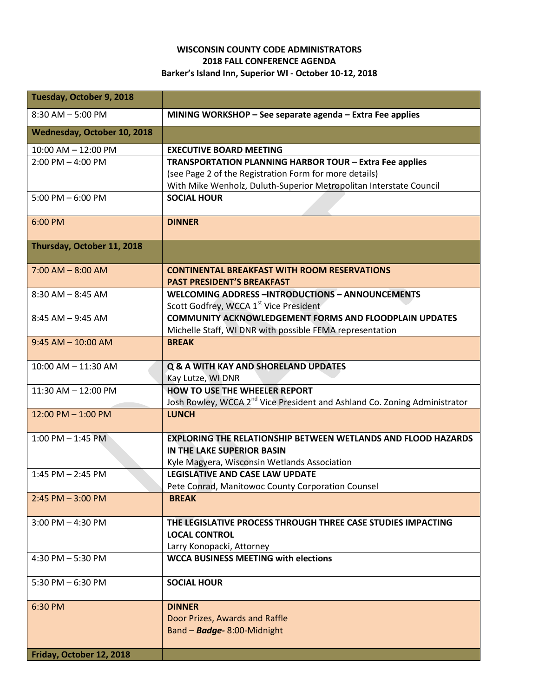## **WISCONSIN COUNTY CODE ADMINISTRATORS 2018 FALL CONFERENCE AGENDA Barker's Island Inn, Superior WI - October 10-12, 2018**

| Tuesday, October 9, 2018    |                                                                                          |
|-----------------------------|------------------------------------------------------------------------------------------|
| $8:30$ AM $-5:00$ PM        | MINING WORKSHOP - See separate agenda - Extra Fee applies                                |
| Wednesday, October 10, 2018 |                                                                                          |
| 10:00 AM - 12:00 PM         | <b>EXECUTIVE BOARD MEETING</b>                                                           |
| $2:00$ PM $-$ 4:00 PM       | TRANSPORTATION PLANNING HARBOR TOUR - Extra Fee applies                                  |
|                             | (see Page 2 of the Registration Form for more details)                                   |
|                             | With Mike Wenholz, Duluth-Superior Metropolitan Interstate Council                       |
| 5:00 PM $-$ 6:00 PM         | <b>SOCIAL HOUR</b>                                                                       |
| 6:00 PM                     | <b>DINNER</b>                                                                            |
| Thursday, October 11, 2018  |                                                                                          |
|                             |                                                                                          |
| $7:00$ AM $-$ 8:00 AM       | <b>CONTINENTAL BREAKFAST WITH ROOM RESERVATIONS</b><br><b>PAST PRESIDENT'S BREAKFAST</b> |
| $8:30$ AM $- 8:45$ AM       | <b>WELCOMING ADDRESS-INTRODUCTIONS - ANNOUNCEMENTS</b>                                   |
|                             | Scott Godfrey, WCCA 1 <sup>st</sup> Vice President                                       |
| $8:45$ AM $-9:45$ AM        | <b>COMMUNITY ACKNOWLEDGEMENT FORMS AND FLOODPLAIN UPDATES</b>                            |
|                             | Michelle Staff, WI DNR with possible FEMA representation                                 |
| $9:45$ AM $- 10:00$ AM      | <b>BREAK</b>                                                                             |
| $10:00$ AM $- 11:30$ AM     | <b>Q &amp; A WITH KAY AND SHORELAND UPDATES</b>                                          |
|                             | Kay Lutze, WI DNR                                                                        |
| 11:30 AM - 12:00 PM         | <b>HOW TO USE THE WHEELER REPORT</b>                                                     |
|                             | Josh Rowley, WCCA 2 <sup>nd</sup> Vice President and Ashland Co. Zoning Administrator    |
| $12:00$ PM $- 1:00$ PM      | <b>LUNCH</b>                                                                             |
| $1:00$ PM $-1:45$ PM        | <b>EXPLORING THE RELATIONSHIP BETWEEN WETLANDS AND FLOOD HAZARDS</b>                     |
|                             | IN THE LAKE SUPERIOR BASIN                                                               |
|                             | Kyle Magyera, Wisconsin Wetlands Association                                             |
| $1:45$ PM $- 2:45$ PM       | <b>LEGISLATIVE AND CASE LAW UPDATE</b>                                                   |
|                             | Pete Conrad, Manitowoc County Corporation Counsel                                        |
| $2:45$ PM $-3:00$ PM        | <b>BREAK</b>                                                                             |
| $3:00$ PM $-$ 4:30 PM       | THE LEGISLATIVE PROCESS THROUGH THREE CASE STUDIES IMPACTING                             |
|                             | <b>LOCAL CONTROL</b>                                                                     |
|                             | Larry Konopacki, Attorney                                                                |
| 4:30 PM $-$ 5:30 PM         | <b>WCCA BUSINESS MEETING with elections</b>                                              |
| 5:30 PM $-6:30$ PM          | <b>SOCIAL HOUR</b>                                                                       |
|                             |                                                                                          |
| 6:30 PM                     | <b>DINNER</b><br>Door Prizes, Awards and Raffle                                          |
|                             | Band - Badge- 8:00-Midnight                                                              |
|                             |                                                                                          |
| Friday, October 12, 2018    |                                                                                          |